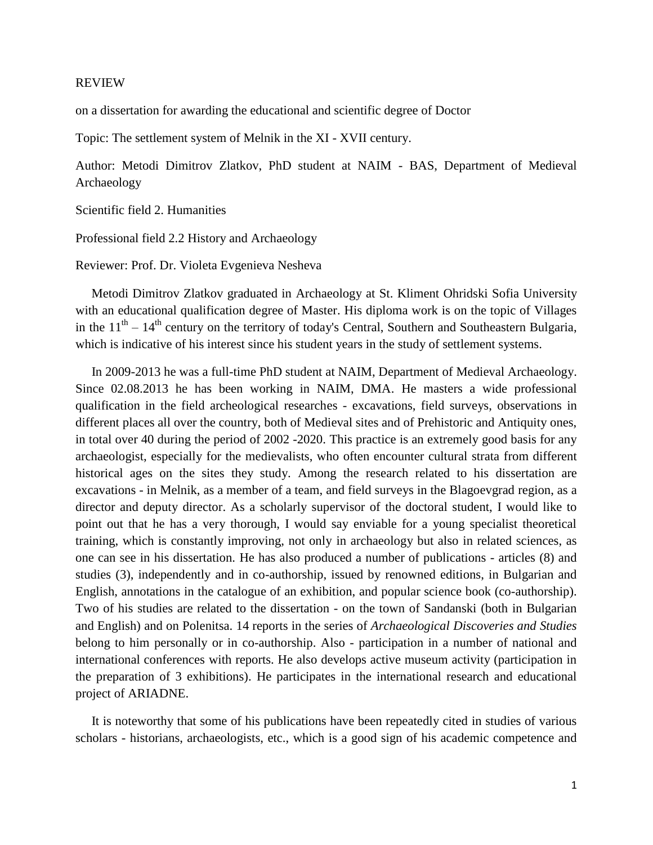## REVIEW

on a dissertation for awarding the educational and scientific degree of Doctor

Topic: The settlement system of Melnik in the XI - XVII century.

Author: Metodi Dimitrov Zlatkov, PhD student at NAIM - BAS, Department of Medieval Archaeology

Scientific field 2. Humanities

Professional field 2.2 History and Archaeology

Reviewer: Prof. Dr. Violeta Evgenieva Nesheva

 Metodi Dimitrov Zlatkov graduated in Archaeology at St. Kliment Ohridski Sofia University with an educational qualification degree of Master. His diploma work is on the topic of Villages in the  $11<sup>th</sup> - 14<sup>th</sup>$  century on the territory of today's Central, Southern and Southeastern Bulgaria, which is indicative of his interest since his student years in the study of settlement systems.

 In 2009-2013 he was a full-time PhD student at NAIM, Department of Medieval Archaeology. Since 02.08.2013 he has been working in NAIM, DMA. He masters a wide professional qualification in the field archeological researches - excavations, field surveys, observations in different places all over the country, both of Medieval sites and of Prehistoric and Antiquity ones, in total over 40 during the period of 2002 -2020. This practice is an extremely good basis for any archaeologist, especially for the medievalists, who often encounter cultural strata from different historical ages on the sites they study. Among the research related to his dissertation are excavations - in Melnik, as a member of a team, and field surveys in the Blagoevgrad region, as a director and deputy director. As a scholarly supervisor of the doctoral student, I would like to point out that he has a very thorough, I would say enviable for a young specialist theoretical training, which is constantly improving, not only in archaeology but also in related sciences, as one can see in his dissertation. He has also produced a number of publications - articles (8) and studies (3), independently and in co-authorship, issued by renowned editions, in Bulgarian and English, annotations in the catalogue of an exhibition, and popular science book (co-authorship). Two of his studies are related to the dissertation - on the town of Sandanski (both in Bulgarian and English) and on Polenitsa. 14 reports in the series of *Archaeological Discoveries and Studies* belong to him personally or in co-authorship. Also - participation in a number of national and international conferences with reports. He also develops active museum activity (participation in the preparation of 3 exhibitions). He participates in the international research and educational project of ARIADNE.

 It is noteworthy that some of his publications have been repeatedly cited in studies of various scholars - historians, archaeologists, etc., which is a good sign of his academic competence and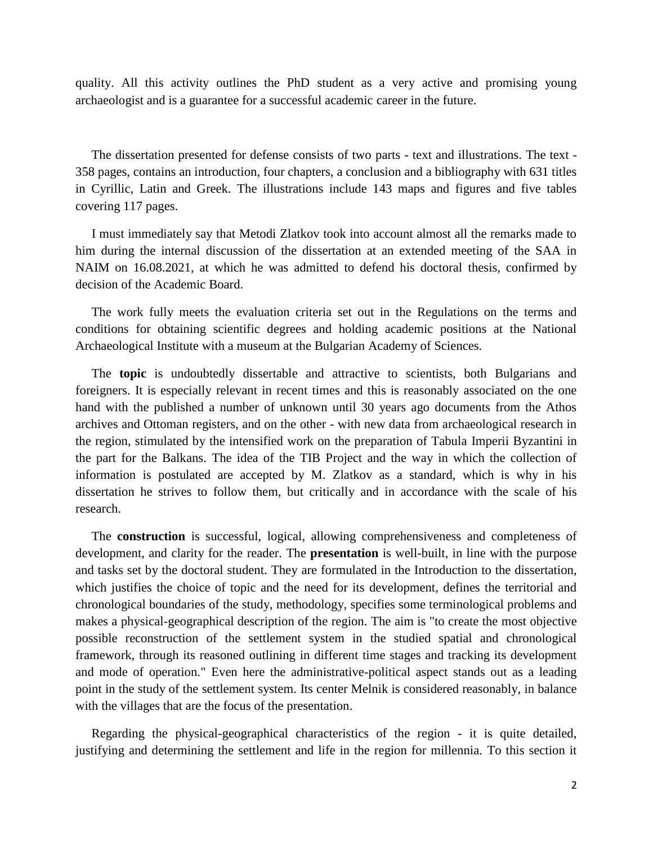quality. All this activity outlines the PhD student as a very active and promising young archaeologist and is a guarantee for a successful academic career in the future.

 The dissertation presented for defense consists of two parts - text and illustrations. The text - 358 pages, contains an introduction, four chapters, a conclusion and a bibliography with 631 titles in Cyrillic, Latin and Greek. The illustrations include 143 maps and figures and five tables covering 117 pages.

 I must immediately say that Metodi Zlatkov took into account almost all the remarks made to him during the internal discussion of the dissertation at an extended meeting of the SAA in NAIM on 16.08.2021, at which he was admitted to defend his doctoral thesis, confirmed by decision of the Academic Board.

 The work fully meets the evaluation criteria set out in the Regulations on the terms and conditions for obtaining scientific degrees and holding academic positions at the National Archaeological Institute with a museum at the Bulgarian Academy of Sciences.

 The **topic** is undoubtedly dissertable and attractive to scientists, both Bulgarians and foreigners. It is especially relevant in recent times and this is reasonably associated on the one hand with the published a number of unknown until 30 years ago documents from the Athos archives and Ottoman registers, and on the other - with new data from archaeological research in the region, stimulated by the intensified work on the preparation of Tabula Imperii Byzantini in the part for the Balkans. The idea of the TIB Project and the way in which the collection of information is postulated are accepted by M. Zlatkov as a standard, which is why in his dissertation he strives to follow them, but critically and in accordance with the scale of his research.

 The **construction** is successful, logical, allowing comprehensiveness and completeness of development, and clarity for the reader. The **presentation** is well-built, in line with the purpose and tasks set by the doctoral student. They are formulated in the Introduction to the dissertation, which justifies the choice of topic and the need for its development, defines the territorial and chronological boundaries of the study, methodology, specifies some terminological problems and makes a physical-geographical description of the region. The aim is "to create the most objective possible reconstruction of the settlement system in the studied spatial and chronological framework, through its reasoned outlining in different time stages and tracking its development and mode of operation." Even here the administrative-political aspect stands out as a leading point in the study of the settlement system. Its center Melnik is considered reasonably, in balance with the villages that are the focus of the presentation.

 Regarding the physical-geographical characteristics of the region - it is quite detailed, justifying and determining the settlement and life in the region for millennia. To this section it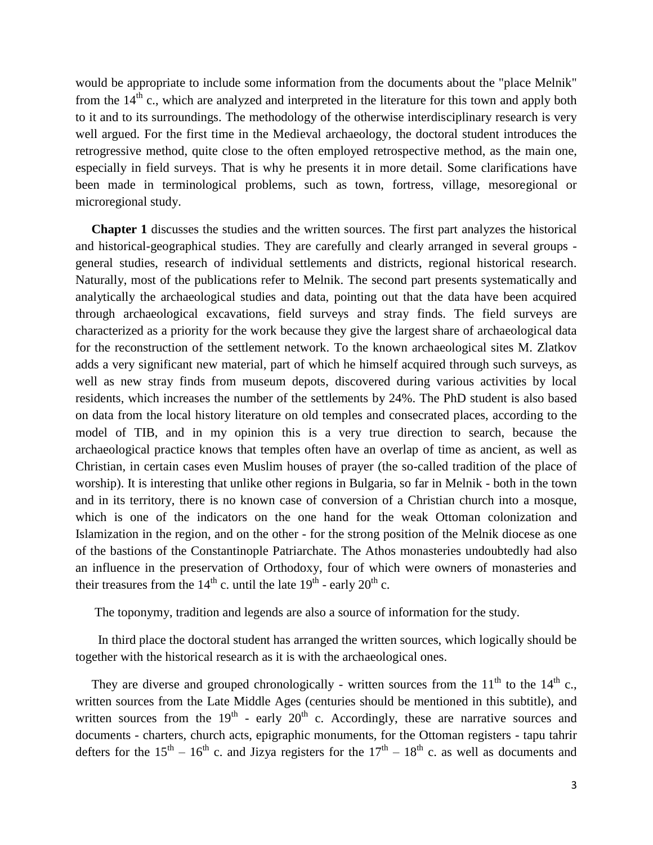would be appropriate to include some information from the documents about the "place Melnik" from the  $14<sup>th</sup>$  c., which are analyzed and interpreted in the literature for this town and apply both to it and to its surroundings. The methodology of the otherwise interdisciplinary research is very well argued. For the first time in the Medieval archaeology, the doctoral student introduces the retrogressive method, quite close to the often employed retrospective method, as the main one, especially in field surveys. That is why he presents it in more detail. Some clarifications have been made in terminological problems, such as town, fortress, village, mesoregional or microregional study.

 **Chapter 1** discusses the studies and the written sources. The first part analyzes the historical and historical-geographical studies. They are carefully and clearly arranged in several groups general studies, research of individual settlements and districts, regional historical research. Naturally, most of the publications refer to Melnik. The second part presents systematically and analytically the archaeological studies and data, pointing out that the data have been acquired through archaeological excavations, field surveys and stray finds. The field surveys are characterized as a priority for the work because they give the largest share of archaeological data for the reconstruction of the settlement network. To the known archaeological sites M. Zlatkov adds a very significant new material, part of which he himself acquired through such surveys, as well as new stray finds from museum depots, discovered during various activities by local residents, which increases the number of the settlements by 24%. The PhD student is also based on data from the local history literature on old temples and consecrated places, according to the model of TIB, and in my opinion this is a very true direction to search, because the archaeological practice knows that temples often have an overlap of time as ancient, as well as Christian, in certain cases even Muslim houses of prayer (the so-called tradition of the place of worship). It is interesting that unlike other regions in Bulgaria, so far in Melnik - both in the town and in its territory, there is no known case of conversion of a Christian church into a mosque, which is one of the indicators on the one hand for the weak Ottoman colonization and Islamization in the region, and on the other - for the strong position of the Melnik diocese as one of the bastions of the Constantinople Patriarchate. The Athos monasteries undoubtedly had also an influence in the preservation of Orthodoxy, four of which were owners of monasteries and their treasures from the  $14<sup>th</sup>$  c. until the late  $19<sup>th</sup>$  - early  $20<sup>th</sup>$  c.

The toponymy, tradition and legends are also a source of information for the study.

 In third place the doctoral student has arranged the written sources, which logically should be together with the historical research as it is with the archaeological ones.

They are diverse and grouped chronologically - written sources from the  $11<sup>th</sup>$  to the  $14<sup>th</sup>$  c., written sources from the Late Middle Ages (centuries should be mentioned in this subtitle), and written sources from the  $19<sup>th</sup>$  - early  $20<sup>th</sup>$  c. Accordingly, these are narrative sources and documents - charters, church acts, epigraphic monuments, for the Ottoman registers - tapu tahrir defters for the 15<sup>th</sup> – 16<sup>th</sup> c. and Jizya registers for the  $17<sup>th</sup>$  – 18<sup>th</sup> c. as well as documents and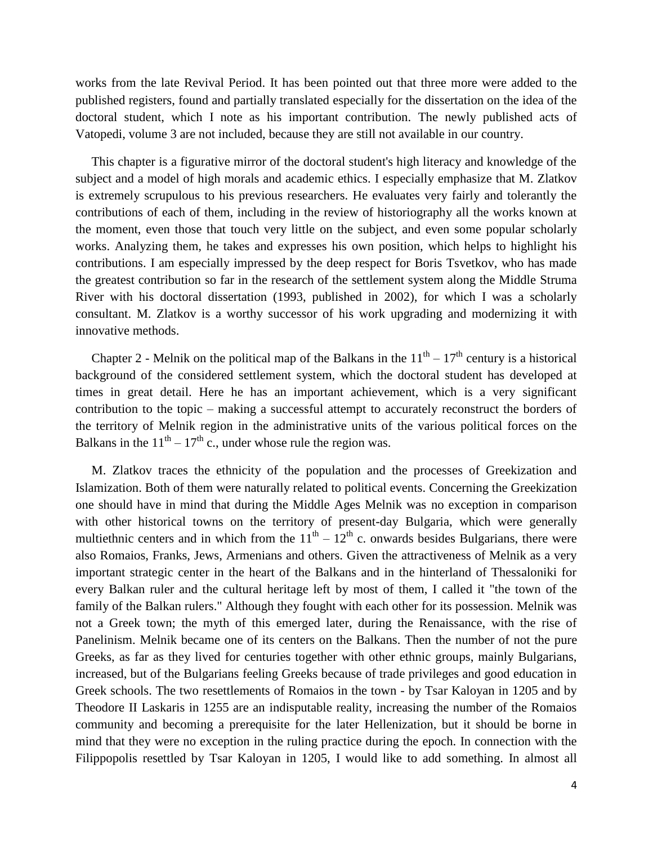works from the late Revival Period. It has been pointed out that three more were added to the published registers, found and partially translated especially for the dissertation on the idea of the doctoral student, which I note as his important contribution. The newly published acts of Vatopedi, volume 3 are not included, because they are still not available in our country.

 This chapter is a figurative mirror of the doctoral student's high literacy and knowledge of the subject and a model of high morals and academic ethics. I especially emphasize that M. Zlatkov is extremely scrupulous to his previous researchers. He evaluates very fairly and tolerantly the contributions of each of them, including in the review of historiography all the works known at the moment, even those that touch very little on the subject, and even some popular scholarly works. Analyzing them, he takes and expresses his own position, which helps to highlight his contributions. I am especially impressed by the deep respect for Boris Tsvetkov, who has made the greatest contribution so far in the research of the settlement system along the Middle Struma River with his doctoral dissertation (1993, published in 2002), for which I was a scholarly consultant. M. Zlatkov is a worthy successor of his work upgrading and modernizing it with innovative methods.

Chapter 2 - Melnik on the political map of the Balkans in the  $11<sup>th</sup> - 17<sup>th</sup>$  century is a historical background of the considered settlement system, which the doctoral student has developed at times in great detail. Here he has an important achievement, which is a very significant contribution to the topic – making a successful attempt to accurately reconstruct the borders of the territory of Melnik region in the administrative units of the various political forces on the Balkans in the  $11<sup>th</sup> - 17<sup>th</sup>$  c., under whose rule the region was.

 M. Zlatkov traces the ethnicity of the population and the processes of Greekization and Islamization. Both of them were naturally related to political events. Concerning the Greekization one should have in mind that during the Middle Ages Melnik was no exception in comparison with other historical towns on the territory of present-day Bulgaria, which were generally multiethnic centers and in which from the  $11<sup>th</sup> - 12<sup>th</sup>$  c. onwards besides Bulgarians, there were also Romaios, Franks, Jews, Armenians and others. Given the attractiveness of Melnik as a very important strategic center in the heart of the Balkans and in the hinterland of Thessaloniki for every Balkan ruler and the cultural heritage left by most of them, I called it "the town of the family of the Balkan rulers." Although they fought with each other for its possession. Melnik was not a Greek town; the myth of this emerged later, during the Renaissance, with the rise of Panelinism. Melnik became one of its centers on the Balkans. Then the number of not the pure Greeks, as far as they lived for centuries together with other ethnic groups, mainly Bulgarians, increased, but of the Bulgarians feeling Greeks because of trade privileges and good education in Greek schools. The two resettlements of Romaios in the town - by Tsar Kaloyan in 1205 and by Theodore II Laskaris in 1255 are an indisputable reality, increasing the number of the Romaios community and becoming a prerequisite for the later Hellenization, but it should be borne in mind that they were no exception in the ruling practice during the epoch. In connection with the Filippopolis resettled by Tsar Kaloyan in 1205, I would like to add something. In almost all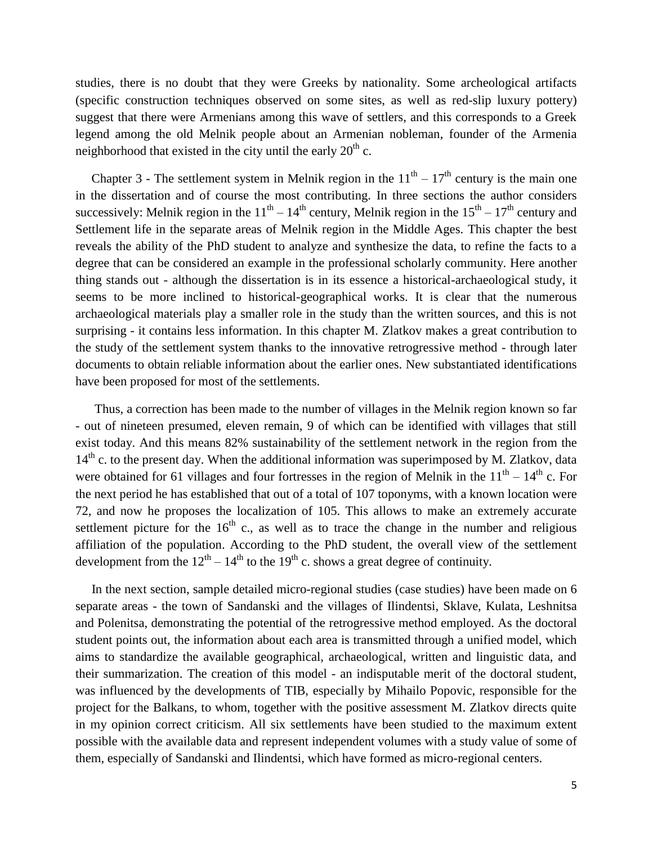studies, there is no doubt that they were Greeks by nationality. Some archeological artifacts (specific construction techniques observed on some sites, as well as red-slip luxury pottery) suggest that there were Armenians among this wave of settlers, and this corresponds to a Greek legend among the old Melnik people about an Armenian nobleman, founder of the Armenia neighborhood that existed in the city until the early  $20<sup>th</sup>$  c.

Chapter 3 - The settlement system in Melnik region in the  $11<sup>th</sup> - 17<sup>th</sup>$  century is the main one in the dissertation and of course the most contributing. In three sections the author considers successively: Melnik region in the  $11<sup>th</sup> - 14<sup>th</sup>$  century, Melnik region in the  $15<sup>th</sup> - 17<sup>th</sup>$  century and Settlement life in the separate areas of Melnik region in the Middle Ages. This chapter the best reveals the ability of the PhD student to analyze and synthesize the data, to refine the facts to a degree that can be considered an example in the professional scholarly community. Here another thing stands out - although the dissertation is in its essence a historical-archaeological study, it seems to be more inclined to historical-geographical works. It is clear that the numerous archaeological materials play a smaller role in the study than the written sources, and this is not surprising - it contains less information. In this chapter M. Zlatkov makes a great contribution to the study of the settlement system thanks to the innovative retrogressive method - through later documents to obtain reliable information about the earlier ones. New substantiated identifications have been proposed for most of the settlements.

 Thus, a correction has been made to the number of villages in the Melnik region known so far - out of nineteen presumed, eleven remain, 9 of which can be identified with villages that still exist today. And this means 82% sustainability of the settlement network in the region from the  $14<sup>th</sup>$  c. to the present day. When the additional information was superimposed by M. Zlatkov, data were obtained for 61 villages and four fortresses in the region of Melnik in the  $11<sup>th</sup> - 14<sup>th</sup>$  c. For the next period he has established that out of a total of 107 toponyms, with a known location were 72, and now he proposes the localization of 105. This allows to make an extremely accurate settlement picture for the  $16<sup>th</sup>$  c., as well as to trace the change in the number and religious affiliation of the population. According to the PhD student, the overall view of the settlement development from the  $12<sup>th</sup> - 14<sup>th</sup>$  to the 19<sup>th</sup> c. shows a great degree of continuity.

 In the next section, sample detailed micro-regional studies (case studies) have been made on 6 separate areas - the town of Sandanski and the villages of Ilindentsi, Sklave, Kulata, Leshnitsa and Polenitsa, demonstrating the potential of the retrogressive method employed. As the doctoral student points out, the information about each area is transmitted through a unified model, which aims to standardize the available geographical, archaeological, written and linguistic data, and their summarization. The creation of this model - an indisputable merit of the doctoral student, was influenced by the developments of TIB, especially by Mihailo Popovic, responsible for the project for the Balkans, to whom, together with the positive assessment M. Zlatkov directs quite in my opinion correct criticism. All six settlements have been studied to the maximum extent possible with the available data and represent independent volumes with a study value of some of them, especially of Sandanski and Ilindentsi, which have formed as micro-regional centers.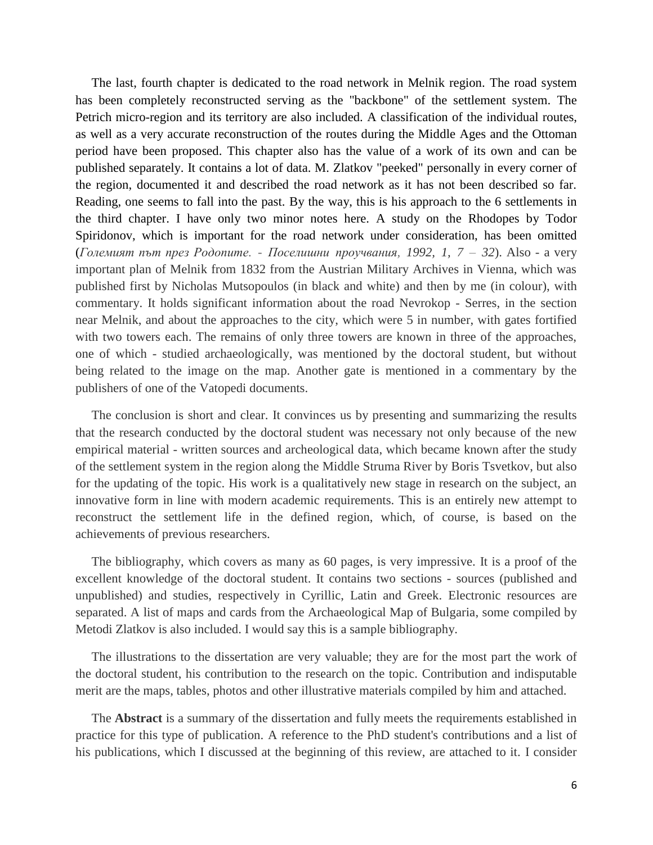The last, fourth chapter is dedicated to the road network in Melnik region. The road system has been completely reconstructed serving as the "backbone" of the settlement system. The Petrich micro-region and its territory are also included. A classification of the individual routes, as well as a very accurate reconstruction of the routes during the Middle Ages and the Ottoman period have been proposed. This chapter also has the value of a work of its own and can be published separately. It contains a lot of data. M. Zlatkov "peeked" personally in every corner of the region, documented it and described the road network as it has not been described so far. Reading, one seems to fall into the past. By the way, this is his approach to the 6 settlements in the third chapter. I have only two minor notes here. A study on the Rhodopes by Todor Spiridonov, which is important for the road network under consideration, has been omitted (*Големият път през Родопите. - Поселишни проучвания, 1992, 1, 7 – 32*). Also - a very important plan of Melnik from 1832 from the Austrian Military Archives in Vienna, which was published first by Nicholas Mutsopoulos (in black and white) and then by me (in colour), with commentary. It holds significant information about the road Nevrokop - Serres, in the section near Melnik, and about the approaches to the city, which were 5 in number, with gates fortified with two towers each. The remains of only three towers are known in three of the approaches, one of which - studied archaeologically, was mentioned by the doctoral student, but without being related to the image on the map. Another gate is mentioned in a commentary by the publishers of one of the Vatopedi documents.

 The conclusion is short and clear. It convinces us by presenting and summarizing the results that the research conducted by the doctoral student was necessary not only because of the new empirical material - written sources and archeological data, which became known after the study of the settlement system in the region along the Middle Struma River by Boris Tsvetkov, but also for the updating of the topic. His work is a qualitatively new stage in research on the subject, an innovative form in line with modern academic requirements. This is an entirely new attempt to reconstruct the settlement life in the defined region, which, of course, is based on the achievements of previous researchers.

 The bibliography, which covers as many as 60 pages, is very impressive. It is a proof of the excellent knowledge of the doctoral student. It contains two sections - sources (published and unpublished) and studies, respectively in Cyrillic, Latin and Greek. Electronic resources are separated. A list of maps and cards from the Archaeological Map of Bulgaria, some compiled by Metodi Zlatkov is also included. I would say this is a sample bibliography.

 The illustrations to the dissertation are very valuable; they are for the most part the work of the doctoral student, his contribution to the research on the topic. Contribution and indisputable merit are the maps, tables, photos and other illustrative materials compiled by him and attached.

 The **Abstract** is a summary of the dissertation and fully meets the requirements established in practice for this type of publication. A reference to the PhD student's contributions and a list of his publications, which I discussed at the beginning of this review, are attached to it. I consider